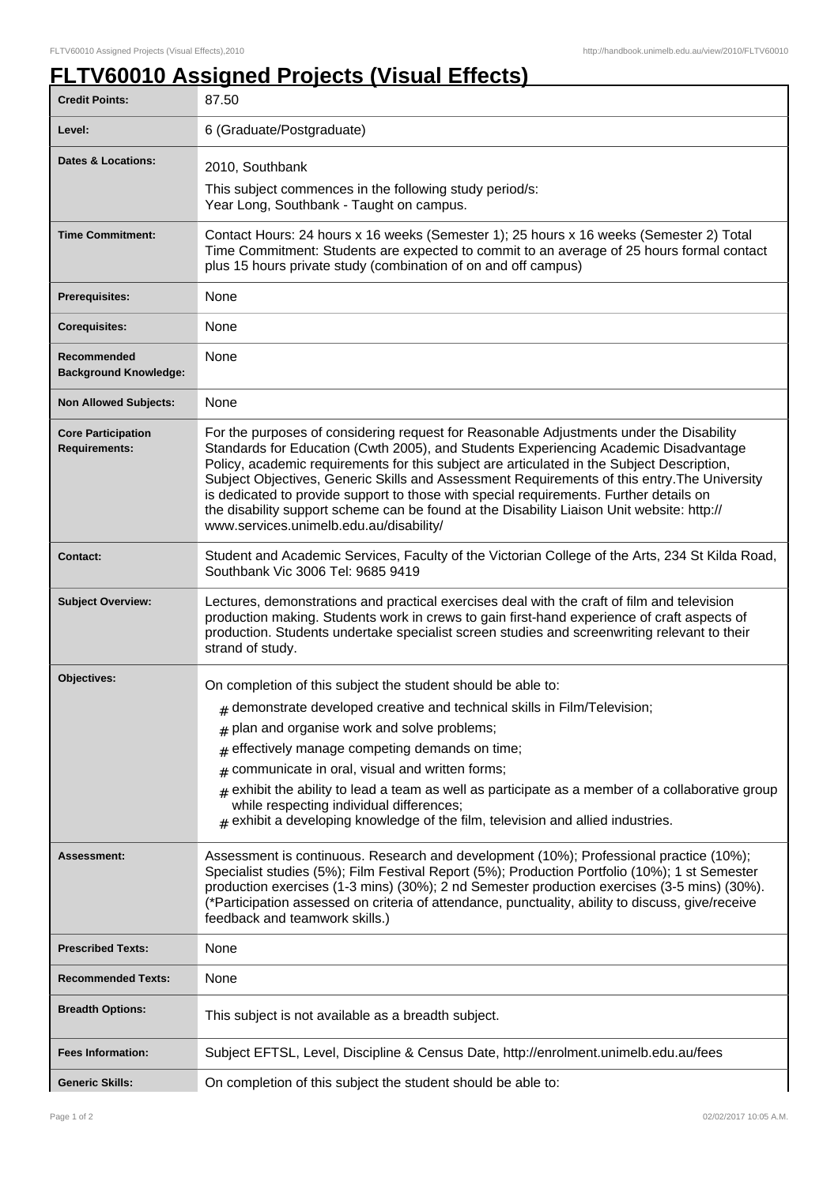٦

## **FLTV60010 Assigned Projects (Visual Effects)**

| <b>Credit Points:</b>                             | 87.50                                                                                                                                                                                                                                                                                                                                                                                                                                                                                                                                                                                                            |
|---------------------------------------------------|------------------------------------------------------------------------------------------------------------------------------------------------------------------------------------------------------------------------------------------------------------------------------------------------------------------------------------------------------------------------------------------------------------------------------------------------------------------------------------------------------------------------------------------------------------------------------------------------------------------|
| Level:                                            | 6 (Graduate/Postgraduate)                                                                                                                                                                                                                                                                                                                                                                                                                                                                                                                                                                                        |
| Dates & Locations:                                | 2010, Southbank                                                                                                                                                                                                                                                                                                                                                                                                                                                                                                                                                                                                  |
|                                                   | This subject commences in the following study period/s:<br>Year Long, Southbank - Taught on campus.                                                                                                                                                                                                                                                                                                                                                                                                                                                                                                              |
| <b>Time Commitment:</b>                           | Contact Hours: 24 hours x 16 weeks (Semester 1); 25 hours x 16 weeks (Semester 2) Total<br>Time Commitment: Students are expected to commit to an average of 25 hours formal contact<br>plus 15 hours private study (combination of on and off campus)                                                                                                                                                                                                                                                                                                                                                           |
| Prerequisites:                                    | None                                                                                                                                                                                                                                                                                                                                                                                                                                                                                                                                                                                                             |
| <b>Corequisites:</b>                              | None                                                                                                                                                                                                                                                                                                                                                                                                                                                                                                                                                                                                             |
| Recommended<br><b>Background Knowledge:</b>       | None                                                                                                                                                                                                                                                                                                                                                                                                                                                                                                                                                                                                             |
| <b>Non Allowed Subjects:</b>                      | None                                                                                                                                                                                                                                                                                                                                                                                                                                                                                                                                                                                                             |
| <b>Core Participation</b><br><b>Requirements:</b> | For the purposes of considering request for Reasonable Adjustments under the Disability<br>Standards for Education (Cwth 2005), and Students Experiencing Academic Disadvantage<br>Policy, academic requirements for this subject are articulated in the Subject Description,<br>Subject Objectives, Generic Skills and Assessment Requirements of this entry. The University<br>is dedicated to provide support to those with special requirements. Further details on<br>the disability support scheme can be found at the Disability Liaison Unit website: http://<br>www.services.unimelb.edu.au/disability/ |
| <b>Contact:</b>                                   | Student and Academic Services, Faculty of the Victorian College of the Arts, 234 St Kilda Road,<br>Southbank Vic 3006 Tel: 9685 9419                                                                                                                                                                                                                                                                                                                                                                                                                                                                             |
| <b>Subject Overview:</b>                          | Lectures, demonstrations and practical exercises deal with the craft of film and television<br>production making. Students work in crews to gain first-hand experience of craft aspects of<br>production. Students undertake specialist screen studies and screenwriting relevant to their<br>strand of study.                                                                                                                                                                                                                                                                                                   |
| Objectives:                                       | On completion of this subject the student should be able to:                                                                                                                                                                                                                                                                                                                                                                                                                                                                                                                                                     |
|                                                   | $#$ demonstrate developed creative and technical skills in Film/Television;                                                                                                                                                                                                                                                                                                                                                                                                                                                                                                                                      |
|                                                   | $#$ plan and organise work and solve problems;                                                                                                                                                                                                                                                                                                                                                                                                                                                                                                                                                                   |
|                                                   | effectively manage competing demands on time;<br>#                                                                                                                                                                                                                                                                                                                                                                                                                                                                                                                                                               |
|                                                   | communicate in oral, visual and written forms;<br>#                                                                                                                                                                                                                                                                                                                                                                                                                                                                                                                                                              |
|                                                   | exhibit the ability to lead a team as well as participate as a member of a collaborative group<br>#<br>while respecting individual differences;<br>$#$ exhibit a developing knowledge of the film, television and allied industries.                                                                                                                                                                                                                                                                                                                                                                             |
| Assessment:                                       | Assessment is continuous. Research and development (10%); Professional practice (10%);<br>Specialist studies (5%); Film Festival Report (5%); Production Portfolio (10%); 1 st Semester<br>production exercises (1-3 mins) (30%); 2 nd Semester production exercises (3-5 mins) (30%).<br>(*Participation assessed on criteria of attendance, punctuality, ability to discuss, give/receive<br>feedback and teamwork skills.)                                                                                                                                                                                    |
| <b>Prescribed Texts:</b>                          | None                                                                                                                                                                                                                                                                                                                                                                                                                                                                                                                                                                                                             |
| <b>Recommended Texts:</b>                         | None                                                                                                                                                                                                                                                                                                                                                                                                                                                                                                                                                                                                             |
| <b>Breadth Options:</b>                           | This subject is not available as a breadth subject.                                                                                                                                                                                                                                                                                                                                                                                                                                                                                                                                                              |
| <b>Fees Information:</b>                          | Subject EFTSL, Level, Discipline & Census Date, http://enrolment.unimelb.edu.au/fees                                                                                                                                                                                                                                                                                                                                                                                                                                                                                                                             |
| <b>Generic Skills:</b>                            | On completion of this subject the student should be able to:                                                                                                                                                                                                                                                                                                                                                                                                                                                                                                                                                     |